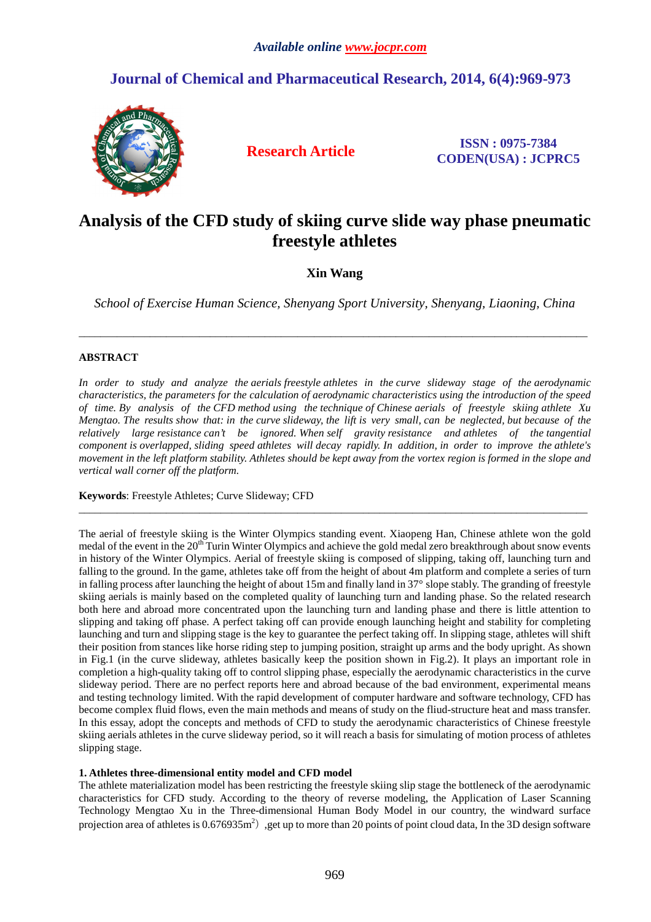# **Journal of Chemical and Pharmaceutical Research, 2014, 6(4):969-973**



**Research Article ISSN : 0975-7384 CODEN(USA) : JCPRC5**

# **Analysis of the CFD study of skiing curve slide way phase pneumatic freestyle athletes**

# **Xin Wang**

*School of Exercise Human Science, Shenyang Sport University, Shenyang, Liaoning, China* 

\_\_\_\_\_\_\_\_\_\_\_\_\_\_\_\_\_\_\_\_\_\_\_\_\_\_\_\_\_\_\_\_\_\_\_\_\_\_\_\_\_\_\_\_\_\_\_\_\_\_\_\_\_\_\_\_\_\_\_\_\_\_\_\_\_\_\_\_\_\_\_\_\_\_\_\_\_\_\_\_\_\_\_\_\_\_\_\_\_\_\_\_\_

## **ABSTRACT**

*In order to study and analyze the aerials freestyle athletes in the curve slideway stage of the aerodynamic characteristics, the parameters for the calculation of aerodynamic characteristics using the introduction of the speed of time. By analysis of the CFD method using the technique of Chinese aerials of freestyle skiing athlete Xu Mengtao. The results show that: in the curve slideway, the lift is very small, can be neglected, but because of the relatively large resistance can't be ignored. When self gravity resistance and athletes of the tangential component is overlapped, sliding speed athletes will decay rapidly. In addition, in order to improve the athlete's movement in the left platform stability. Athletes should be kept away from the vortex region is formed in the slope and vertical wall corner off the platform.* 

\_\_\_\_\_\_\_\_\_\_\_\_\_\_\_\_\_\_\_\_\_\_\_\_\_\_\_\_\_\_\_\_\_\_\_\_\_\_\_\_\_\_\_\_\_\_\_\_\_\_\_\_\_\_\_\_\_\_\_\_\_\_\_\_\_\_\_\_\_\_\_\_\_\_\_\_\_\_\_\_\_\_\_\_\_\_\_\_\_\_\_\_\_

**Keywords**: Freestyle Athletes; Curve Slideway; CFD

The aerial of freestyle skiing is the Winter Olympics standing event. Xiaopeng Han, Chinese athlete won the gold medal of the event in the 20<sup>th</sup> Turin Winter Olympics and achieve the gold medal zero breakthrough about snow events in history of the Winter Olympics. Aerial of freestyle skiing is composed of slipping, taking off, launching turn and falling to the ground. In the game, athletes take off from the height of about 4m platform and complete a series of turn in falling process after launching the height of about 15m and finally land in 37° slope stably. The granding of freestyle skiing aerials is mainly based on the completed quality of launching turn and landing phase. So the related research both here and abroad more concentrated upon the launching turn and landing phase and there is little attention to slipping and taking off phase. A perfect taking off can provide enough launching height and stability for completing launching and turn and slipping stage is the key to guarantee the perfect taking off. In slipping stage, athletes will shift their position from stances like horse riding step to jumping position, straight up arms and the body upright. As shown in Fig.1 (in the curve slideway, athletes basically keep the position shown in Fig.2). It plays an important role in completion a high-quality taking off to control slipping phase, especially the aerodynamic characteristics in the curve slideway period. There are no perfect reports here and abroad because of the bad environment, experimental means and testing technology limited. With the rapid development of computer hardware and software technology, CFD has become complex fluid flows, even the main methods and means of study on the fliud-structure heat and mass transfer. In this essay, adopt the concepts and methods of CFD to study the aerodynamic characteristics of Chinese freestyle skiing aerials athletes in the curve slideway period, so it will reach a basis for simulating of motion process of athletes slipping stage.

#### **1. Athletes three-dimensional entity model and CFD model**

The athlete materialization model has been restricting the freestyle skiing slip stage the bottleneck of the aerodynamic characteristics for CFD study. According to the theory of reverse modeling, the Application of Laser Scanning Technology Mengtao Xu in the Three-dimensional Human Body Model in our country, the windward surface projection area of athletes is  $0.676935m^2$ , get up to more than 20 points of point cloud data, In the 3D design software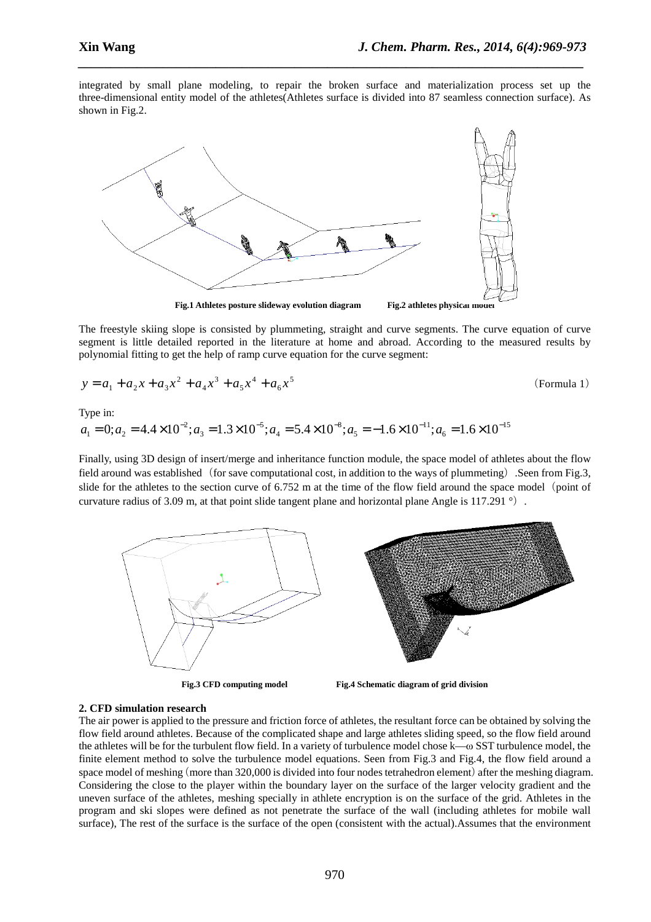integrated by small plane modeling, to repair the broken surface and materialization process set up the three-dimensional entity model of the athletes(Athletes surface is divided into 87 seamless connection surface). As shown in Fig.2.

*\_\_\_\_\_\_\_\_\_\_\_\_\_\_\_\_\_\_\_\_\_\_\_\_\_\_\_\_\_\_\_\_\_\_\_\_\_\_\_\_\_\_\_\_\_\_\_\_\_\_\_\_\_\_\_\_\_\_\_\_\_\_\_\_\_\_\_\_\_\_\_\_\_\_\_\_\_*



The freestyle skiing slope is consisted by plummeting, straight and curve segments. The curve equation of curve segment is little detailed reported in the literature at home and abroad. According to the measured results by polynomial fitting to get the help of ramp curve equation for the curve segment:

$$
y = a_1 + a_2 x + a_3 x^2 + a_4 x^3 + a_5 x^4 + a_6 x^5
$$
 (Formula 1)

Type in:

15 6 11 5 8 4 5 3 2  $a_1 = 0; a_2 = 4.4 \times 10^{-2}; a_3 = 1.3 \times 10^{-5}; a_4 = 5.4 \times 10^{-8}; a_5 = -1.6 \times 10^{-11}; a_6 = 1.6 \times 10^{-15}$ 

Finally, using 3D design of insert/merge and inheritance function module, the space model of athletes about the flow field around was established (for save computational cost, in addition to the ways of plummeting). Seen from Fig.3, slide for the athletes to the section curve of  $6.752$  m at the time of the flow field around the space model (point of curvature radius of 3.09 m, at that point slide tangent plane and horizontal plane Angle is 117.291  $\degree$ ).



**Fig.3 CFD computing model Fig.4 Schematic diagram of grid division** 

#### **2. CFD simulation research**

The air power is applied to the pressure and friction force of athletes, the resultant force can be obtained by solving the flow field around athletes. Because of the complicated shape and large athletes sliding speed, so the flow field around the athletes will be for the turbulent flow field. In a variety of turbulence model chose k—ω SST turbulence model, the finite element method to solve the turbulence model equations. Seen from Fig.3 and Fig.4, the flow field around a space model of meshing (more than 320,000 is divided into four nodes tetrahedron element) after the meshing diagram. Considering the close to the player within the boundary layer on the surface of the larger velocity gradient and the uneven surface of the athletes, meshing specially in athlete encryption is on the surface of the grid. Athletes in the program and ski slopes were defined as not penetrate the surface of the wall (including athletes for mobile wall surface), The rest of the surface is the surface of the open (consistent with the actual).Assumes that the environment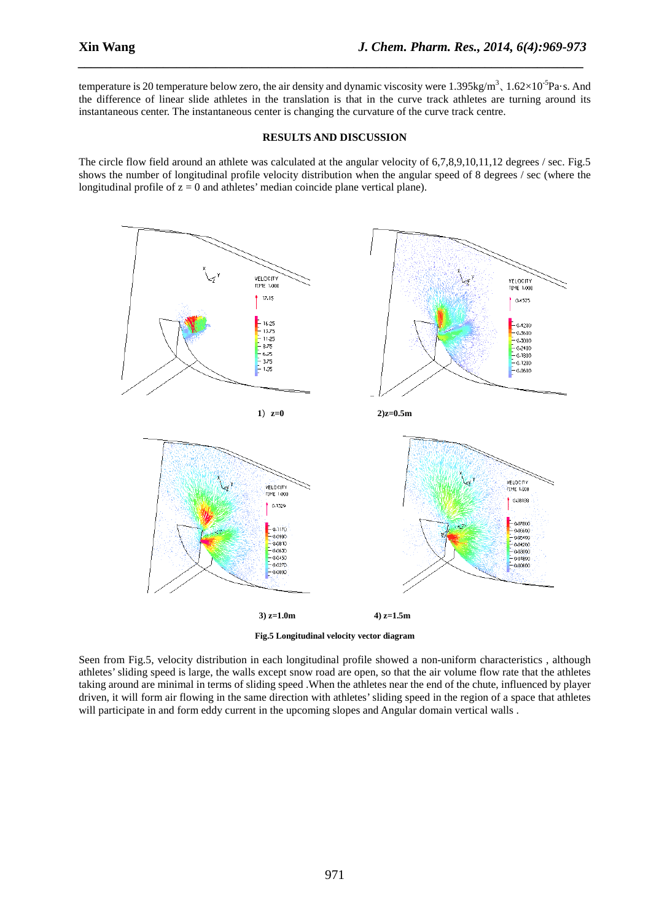temperature is 20 temperature below zero, the air density and dynamic viscosity were  $1.395 \text{kg/m}^3$ ,  $1.62 \times 10^{-5} \text{Pa} \cdot \text{s}$ . And the difference of linear slide athletes in the translation is that in the curve track athletes are turning around its instantaneous center. The instantaneous center is changing the curvature of the curve track centre.

*\_\_\_\_\_\_\_\_\_\_\_\_\_\_\_\_\_\_\_\_\_\_\_\_\_\_\_\_\_\_\_\_\_\_\_\_\_\_\_\_\_\_\_\_\_\_\_\_\_\_\_\_\_\_\_\_\_\_\_\_\_\_\_\_\_\_\_\_\_\_\_\_\_\_\_\_\_*

### **RESULTS AND DISCUSSION**

The circle flow field around an athlete was calculated at the angular velocity of 6,7,8,9,10,11,12 degrees / sec. Fig.5 shows the number of longitudinal profile velocity distribution when the angular speed of 8 degrees / sec (where the longitudinal profile of  $z = 0$  and athletes' median coincide plane vertical plane).



**Fig.5 Longitudinal velocity vector diagram** 

Seen from Fig.5, velocity distribution in each longitudinal profile showed a non-uniform characteristics , although athletes' sliding speed is large, the walls except snow road are open, so that the air volume flow rate that the athletes taking around are minimal in terms of sliding speed .When the athletes near the end of the chute, influenced by player driven, it will form air flowing in the same direction with athletes' sliding speed in the region of a space that athletes will participate in and form eddy current in the upcoming slopes and Angular domain vertical walls .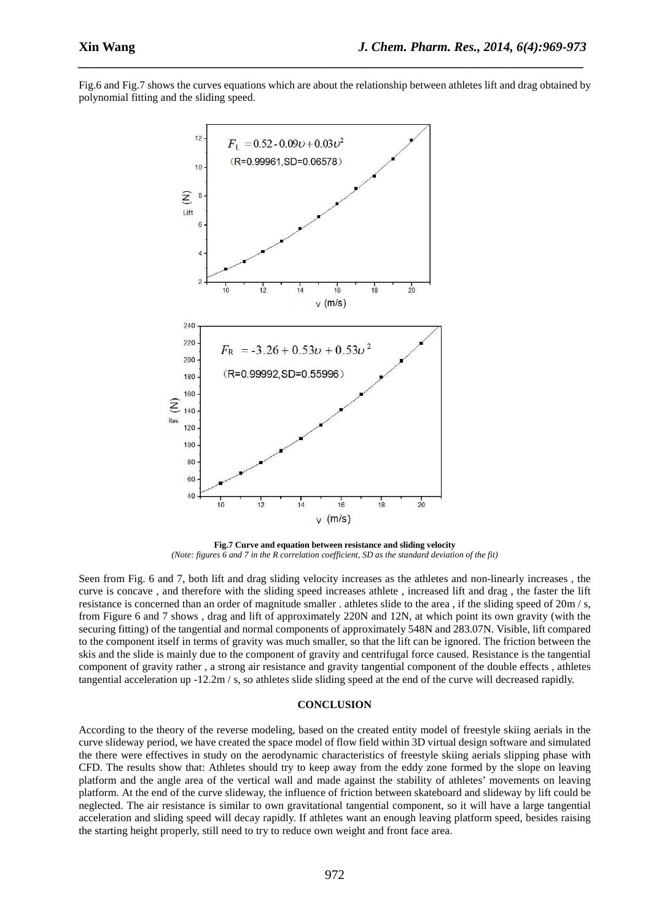Fig.6 and Fig.7 shows the curves equations which are about the relationship between athletes lift and drag obtained by polynomial fitting and the sliding speed.

*\_\_\_\_\_\_\_\_\_\_\_\_\_\_\_\_\_\_\_\_\_\_\_\_\_\_\_\_\_\_\_\_\_\_\_\_\_\_\_\_\_\_\_\_\_\_\_\_\_\_\_\_\_\_\_\_\_\_\_\_\_\_\_\_\_\_\_\_\_\_\_\_\_\_\_\_\_*



**Fig.7 Curve and equation between resistance and sliding velocity**  *(Note: figures 6 and 7 in the R correlation coefficient, SD as the standard deviation of the fit)* 

Seen from Fig. 6 and 7, both lift and drag sliding velocity increases as the athletes and non-linearly increases , the curve is concave , and therefore with the sliding speed increases athlete , increased lift and drag , the faster the lift resistance is concerned than an order of magnitude smaller . athletes slide to the area , if the sliding speed of 20m / s, from Figure 6 and 7 shows , drag and lift of approximately 220N and 12N, at which point its own gravity (with the securing fitting) of the tangential and normal components of approximately 548N and 283.07N. Visible, lift compared to the component itself in terms of gravity was much smaller, so that the lift can be ignored. The friction between the skis and the slide is mainly due to the component of gravity and centrifugal force caused. Resistance is the tangential component of gravity rather , a strong air resistance and gravity tangential component of the double effects , athletes tangential acceleration up  $-12.2m / s$ , so athletes slide sliding speed at the end of the curve will decreased rapidly.

#### **CONCLUSION**

According to the theory of the reverse modeling, based on the created entity model of freestyle skiing aerials in the curve slideway period, we have created the space model of flow field within 3D virtual design software and simulated the there were effectives in study on the aerodynamic characteristics of freestyle skiing aerials slipping phase with CFD. The results show that: Athletes should try to keep away from the eddy zone formed by the slope on leaving platform and the angle area of the vertical wall and made against the stability of athletes' movements on leaving platform. At the end of the curve slideway, the influence of friction between skateboard and slideway by lift could be neglected. The air resistance is similar to own gravitational tangential component, so it will have a large tangential acceleration and sliding speed will decay rapidly. If athletes want an enough leaving platform speed, besides raising the starting height properly, still need to try to reduce own weight and front face area.